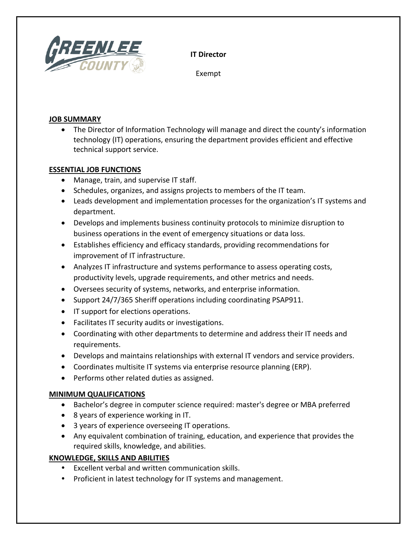

**IT Director**

Exempt

## **JOB SUMMARY**

• The Director of Information Technology will manage and direct the county's information technology (IT) operations, ensuring the department provides efficient and effective technical support service.

## **ESSENTIAL JOB FUNCTIONS**

- Manage, train, and supervise IT staff.
- Schedules, organizes, and assigns projects to members of the IT team.
- Leads development and implementation processes for the organization's IT systems and department.
- Develops and implements business continuity protocols to minimize disruption to business operations in the event of emergency situations or data loss.
- Establishes efficiency and efficacy standards, providing recommendations for improvement of IT infrastructure.
- Analyzes IT infrastructure and systems performance to assess operating costs, productivity levels, upgrade requirements, and other metrics and needs.
- Oversees security of systems, networks, and enterprise information.
- Support 24/7/365 Sheriff operations including coordinating PSAP911.
- IT support for elections operations.
- Facilitates IT security audits or investigations.
- Coordinating with other departments to determine and address their IT needs and requirements.
- Develops and maintains relationships with external IT vendors and service providers.
- Coordinates multisite IT systems via enterprise resource planning (ERP).
- Performs other related duties as assigned.

# **MINIMUM QUALIFICATIONS**

- Bachelor's degree in computer science required: master's degree or MBA preferred
- 8 years of experience working in IT.
- 3 years of experience overseeing IT operations.
- Any equivalent combination of training, education, and experience that provides the required skills, knowledge, and abilities.

# **KNOWLEDGE, SKILLS AND ABILITIES**

- Excellent verbal and written communication skills.
- Proficient in latest technology for IT systems and management.